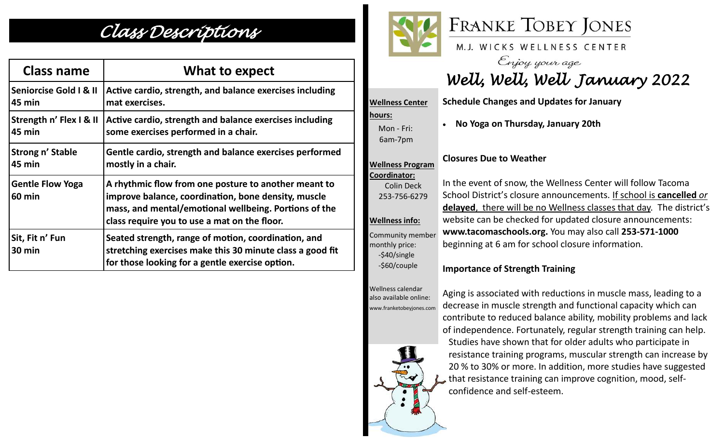## *Class Descriptions*

| <b>Class name</b>                        | What to expect                                                                                                                                                                                                       |
|------------------------------------------|----------------------------------------------------------------------------------------------------------------------------------------------------------------------------------------------------------------------|
| Seniorcise Gold   & II                   | Active cardio, strength, and balance exercises including                                                                                                                                                             |
| 45 min                                   | mat exercises.                                                                                                                                                                                                       |
| Strength n' Flex I & II                  | Active cardio, strength and balance exercises including                                                                                                                                                              |
| 45 min                                   | some exercises performed in a chair.                                                                                                                                                                                 |
| Strong n' Stable                         | Gentle cardio, strength and balance exercises performed                                                                                                                                                              |
| 45 min                                   | mostly in a chair.                                                                                                                                                                                                   |
| <b>Gentle Flow Yoga</b><br><b>60 min</b> | A rhythmic flow from one posture to another meant to<br>improve balance, coordination, bone density, muscle<br>mass, and mental/emotional wellbeing. Portions of the<br>class require you to use a mat on the floor. |
| Sit, Fit n' Fun<br>$30 \text{ min}$      | Seated strength, range of motion, coordination, and<br>stretching exercises make this 30 minute class a good fit<br>for those looking for a gentle exercise option.                                                  |



**hours:** 

 Mon - Fri: 6am-7pm

**Wellness Program** 



M.J. WICKS WELLNESS CENTER

Enjoy your age<br>Well, Well, Well January 2022

**Wellness Center Schedule Changes and Updates for January**

• **No Yoga on Thursday, January 20th**

## **Closures Due to Weather**

**Coordinator:** Colin Deck 253-756-6279 **Wellness info:**

Community member monthly price: -\$40/single -\$60/couple

Wellness calendar also available online: www.franketobeyjones.com

 $\tilde{\phantom{a}}$ 

In the event of snow, the Wellness Center will follow Tacoma School District's closure announcements. If school is **cancelled** *or* **delayed**, there will be no Wellness classes that day. The district's website can be checked for updated closure announcements: **www.tacomaschools.org.** You may also call **253-571-1000** beginning at 6 am for school closure information.

## **Importance of Strength Training**

Aging is associated with reductions in muscle mass, leading to a decrease in muscle strength and functional capacity which can contribute to reduced balance ability, mobility problems and lack of independence. Fortunately, regular strength training can help. Studies have shown that for older adults who participate in resistance training programs, muscular strength can increase by 20 % to 30% or more. In addition, more studies have suggested that resistance training can improve cognition, mood, selfconfidence and self-esteem.